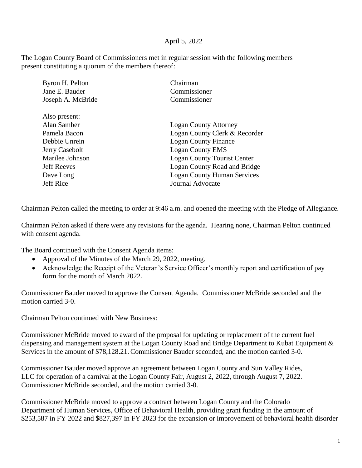## April 5, 2022

The Logan County Board of Commissioners met in regular session with the following members present constituting a quorum of the members thereof:

| Byron H. Pelton    | Chairman                           |
|--------------------|------------------------------------|
| Jane E. Bauder     | Commissioner                       |
| Joseph A. McBride  | Commissioner                       |
| Also present:      |                                    |
|                    |                                    |
| Alan Samber        | <b>Logan County Attorney</b>       |
| Pamela Bacon       | Logan County Clerk & Recorder      |
| Debbie Unrein      | <b>Logan County Finance</b>        |
| Jerry Casebolt     | <b>Logan County EMS</b>            |
| Marilee Johnson    | <b>Logan County Tourist Center</b> |
| <b>Jeff Reeves</b> | Logan County Road and Bridge       |
| Dave Long          | <b>Logan County Human Services</b> |
| <b>Jeff Rice</b>   | <b>Journal Advocate</b>            |
|                    |                                    |

Chairman Pelton called the meeting to order at 9:46 a.m. and opened the meeting with the Pledge of Allegiance.

Chairman Pelton asked if there were any revisions for the agenda. Hearing none, Chairman Pelton continued with consent agenda.

The Board continued with the Consent Agenda items:

- Approval of the Minutes of the March 29, 2022, meeting.
- Acknowledge the Receipt of the Veteran's Service Officer's monthly report and certification of pay form for the month of March 2022.

Commissioner Bauder moved to approve the Consent Agenda. Commissioner McBride seconded and the motion carried 3-0.

Chairman Pelton continued with New Business:

Commissioner McBride moved to award of the proposal for updating or replacement of the current fuel dispensing and management system at the Logan County Road and Bridge Department to Kubat Equipment & Services in the amount of \$78,128.21. Commissioner Bauder seconded, and the motion carried 3-0.

Commissioner Bauder moved approve an agreement between Logan County and Sun Valley Rides, LLC for operation of a carnival at the Logan County Fair, August 2, 2022, through August 7, 2022. Commissioner McBride seconded, and the motion carried 3-0.

Commissioner McBride moved to approve a contract between Logan County and the Colorado Department of Human Services, Office of Behavioral Health, providing grant funding in the amount of \$253,587 in FY 2022 and \$827,397 in FY 2023 for the expansion or improvement of behavioral health disorder